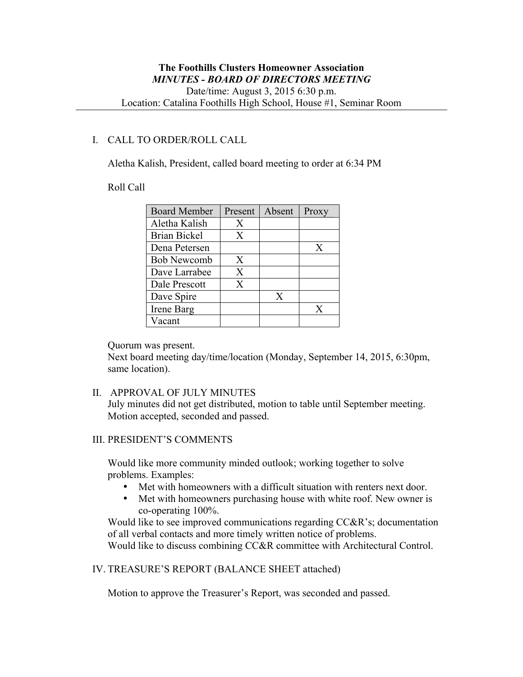#### I. CALL TO ORDER/ROLL CALL

Aletha Kalish, President, called board meeting to order at 6:34 PM

#### Roll Call

| <b>Board Member</b> | Present | Absent | Proxy |
|---------------------|---------|--------|-------|
| Aletha Kalish       | X       |        |       |
| Brian Bickel        | X       |        |       |
| Dena Petersen       |         |        | X     |
| <b>Bob Newcomb</b>  | X       |        |       |
| Dave Larrabee       | X       |        |       |
| Dale Prescott       | X       |        |       |
| Dave Spire          |         | X      |       |
| Irene Barg          |         |        | X     |
| √acant              |         |        |       |

Quorum was present.

Next board meeting day/time/location (Monday, September 14, 2015, 6:30pm, same location).

#### II. APPROVAL OF JULY MINUTES

July minutes did not get distributed, motion to table until September meeting. Motion accepted, seconded and passed.

#### III. PRESIDENT'S COMMENTS

Would like more community minded outlook; working together to solve problems. Examples:

- Met with homeowners with a difficult situation with renters next door.<br>• Met with homeowners nurchasing house with white roof. New owner is
- Met with homeowners purchasing house with white roof. New owner is co-operating 100%.

Would like to see improved communications regarding CC&R's; documentation of all verbal contacts and more timely written notice of problems.

Would like to discuss combining CC&R committee with Architectural Control.

# IV. TREASURE'S REPORT (BALANCE SHEET attached)

Motion to approve the Treasurer's Report, was seconded and passed.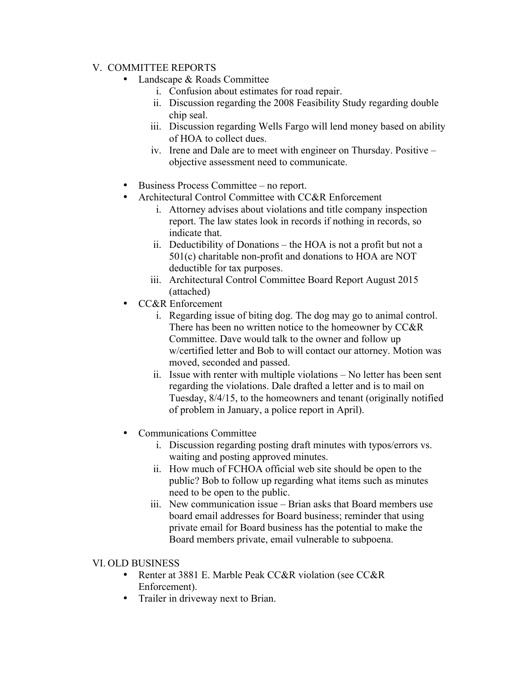# V. COMMITTEE REPORTS

- Landscape & Roads Committee
	- i. Confusion about estimates for road repair.
	- ii. Discussion regarding the 2008 Feasibility Study regarding double chip seal.
	- iii. Discussion regarding Wells Fargo will lend money based on ability of HOA to collect dues.
	- iv. Irene and Dale are to meet with engineer on Thursday. Positive objective assessment need to communicate.
- Business Process Committee no report.
- Architectural Control Committee with CC&R Enforcement
	- i. Attorney advises about violations and title company inspection report. The law states look in records if nothing in records, so indicate that.
	- ii. Deductibility of Donations the HOA is not a profit but not a 501(c) charitable non-profit and donations to HOA are NOT deductible for tax purposes.
	- iii. Architectural Control Committee Board Report August 2015 (attached)
- CC&R Enforcement
	- i. Regarding issue of biting dog. The dog may go to animal control. There has been no written notice to the homeowner by CC&R Committee. Dave would talk to the owner and follow up w/certified letter and Bob to will contact our attorney. Motion was moved, seconded and passed.
	- ii. Issue with renter with multiple violations No letter has been sent regarding the violations. Dale drafted a letter and is to mail on Tuesday, 8/4/15, to the homeowners and tenant (originally notified of problem in January, a police report in April).
- Communications Committee
	- i. Discussion regarding posting draft minutes with typos/errors vs. waiting and posting approved minutes.
	- ii. How much of FCHOA official web site should be open to the public? Bob to follow up regarding what items such as minutes need to be open to the public.
	- iii. New communication issue Brian asks that Board members use board email addresses for Board business; reminder that using private email for Board business has the potential to make the Board members private, email vulnerable to subpoena.

# VI. OLD BUSINESS

- Renter at 3881 E. Marble Peak CC&R violation (see CC&R) Enforcement).
- Trailer in driveway next to Brian.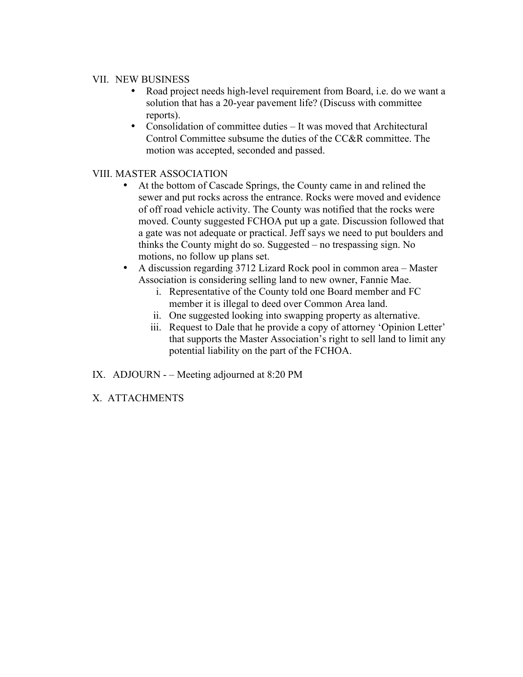#### VII. NEW BUSINESS

- Road project needs high-level requirement from Board, i.e. do we want a solution that has a 20-year pavement life? (Discuss with committee reports).
- Consolidation of committee duties It was moved that Architectural Control Committee subsume the duties of the CC&R committee. The motion was accepted, seconded and passed.

# VIII. MASTER ASSOCIATION

- At the bottom of Cascade Springs, the County came in and relined the sewer and put rocks across the entrance. Rocks were moved and evidence of off road vehicle activity. The County was notified that the rocks were moved. County suggested FCHOA put up a gate. Discussion followed that a gate was not adequate or practical. Jeff says we need to put boulders and thinks the County might do so. Suggested – no trespassing sign. No motions, no follow up plans set.
- A discussion regarding 3712 Lizard Rock pool in common area Master Association is considering selling land to new owner, Fannie Mae.
	- i. Representative of the County told one Board member and FC member it is illegal to deed over Common Area land.
	- ii. One suggested looking into swapping property as alternative.
	- iii. Request to Dale that he provide a copy of attorney 'Opinion Letter' that supports the Master Association's right to sell land to limit any potential liability on the part of the FCHOA.
- IX. ADJOURN – Meeting adjourned at 8:20 PM
- X. ATTACHMENTS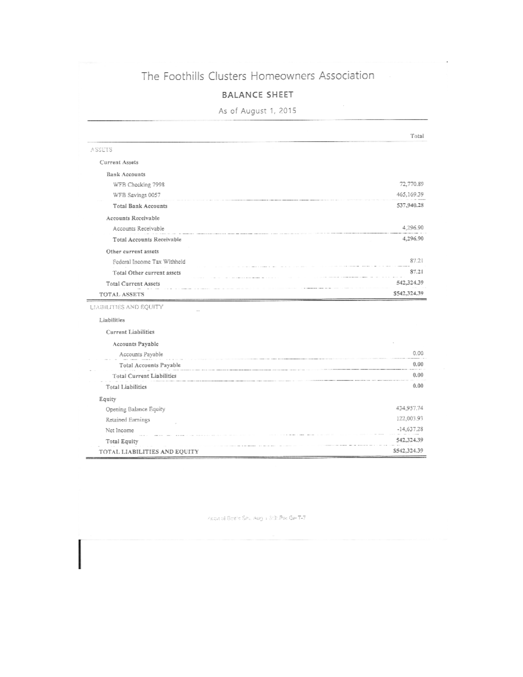# The Foothills Clusters Homeowners Association

### **BALANCE SHEET**

As of August 1, 2015

|                                  | Total        |
|----------------------------------|--------------|
| ASSEIS                           |              |
| Current Assets                   |              |
| <b>Bank Accounts</b>             |              |
| WFB Checking 7998                | 72,770.89    |
| WFB Savings 0057                 | 465,169.39   |
| <b>Total Bank Accounts</b>       | 537,940.28   |
| Accounts Receivable              |              |
| Accounts Receivable              | 4,296.90     |
| <b>Total Accounts Receivable</b> | 4,296.90     |
| Other current assets             |              |
| Federal Income Tax Withheld      | 87.21        |
| Total Other current assets       | 87.21        |
| <b>Total Current Assets</b>      | 542,324.39   |
| TOTAL ASSETS                     | \$542,324,39 |
| LIABILITIES AND EQUITY           |              |
| Liabilities                      |              |
| Current Liabilities              |              |
| Accounts Payable                 |              |
| Accounts Payable                 | 0.00         |
| Total Accounts Payable           | 0.00         |
| Total Current Liabilities        | 0.00         |
| Total Liabilities                | 0.00         |
| Equity                           |              |
| Opening Balance Equity           | 434,957.74   |
| Retained Earnings                | 122,003.93   |
| Net Income                       | $-14,637.28$ |
| <b>Total Equity</b>              | 542,324.39   |
| TOTAL LIABILITIES AND EQUITY     | \$542,324.39 |

Acon al Breis Set, Aug i 3:31 Pro Ge T-7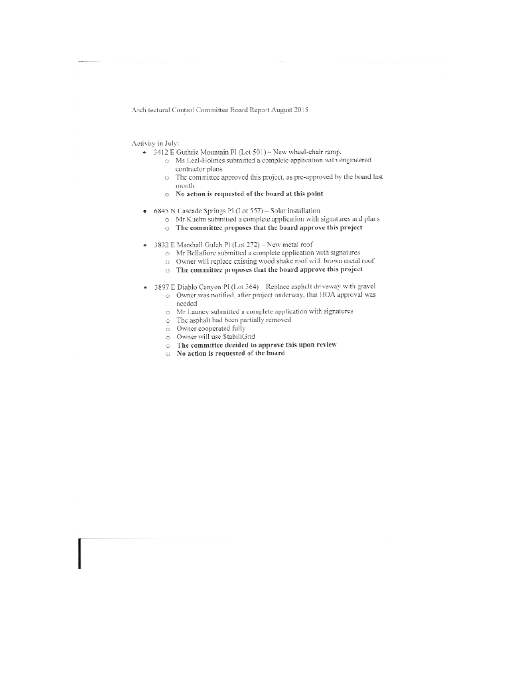Architectural Control Committee Board Report August 2015

#### Activity in July:

- 3412 E Guthrie Mountain Pl (Lot 501) New wheel-chair ramp.
	- o Ms Leal-Holmes submitted a complete application with engineered contractor plans
	- The committee approved this project, as pre-approved by the board last ö month
	- o No action is requested of the board at this point
- 6845 N Cascade Springs Pl (Lot 557) Solar installation. ٠
	- o Mr Kuehn submitted a complete application with signatures and plans
		- o The committee proposes that the board approve this project
- 3832 E Marshall Gulch Pl (Lot 272) New metal roof ٠
	- o Mr Bellafiore submitted a complete application with signatures
	- o Owner will replace existing wood shake roof with brown metal roof
	- o The committee proposes that the board approve this project
- 3897 E Diablo Canyon PI (Lot 364) Replace asphalt driveway with gravel  $\ddot{\phantom{a}}$ o Owner was notified, after project underway, that HOA approval was
	- needed
	- o Mr Launey submitted a complete application with signatures
	- o The asphalt had been partially removed
	- o Owner cooperated fully
	- o Owner will use StabiliGrid
	- The committee decided to approve this upon review
	- Mo action is requested of the board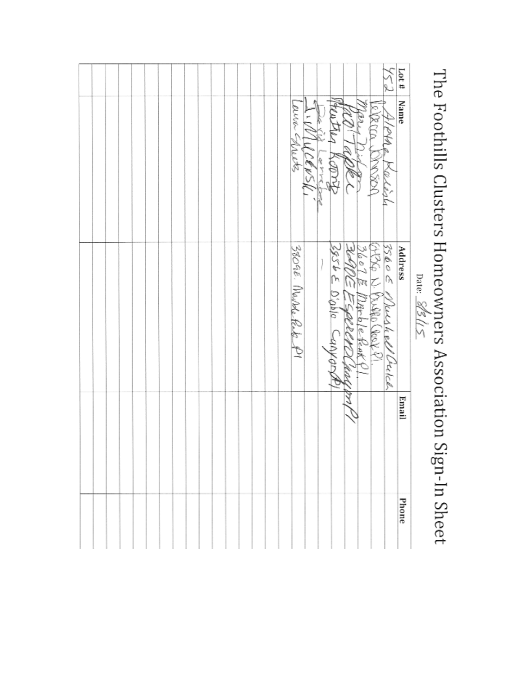|       | j                                                      |
|-------|--------------------------------------------------------|
| Date: | I he Foothils Clusters Homeowners Association Si       |
|       |                                                        |
|       | C<br>ı<br>Ç<br>j<br>j<br>$\mathfrak{c}$<br>Ī<br>¢<br>ţ |

|       |                        | Date: 202112                   |       |       |
|-------|------------------------|--------------------------------|-------|-------|
| Lot # | Name                   | Address                        | Email | Phone |
|       | كأوله برنابيكا         | $3560 \leq$<br>keeshell Crubel |       |       |
|       | 3XX 5<br><b>SOSSON</b> | ζ<br>Rupte Cook Co             |       |       |
|       |                        | Parble Reaks<br>PELE           |       |       |
|       | Rice                   | 39565000000<br>-anyan          |       |       |
|       | Versk<br>i<br>Y        |                                |       |       |
|       | へくへん<br>bleeks,        | 38096. Marke Rete P1           |       |       |
|       |                        |                                |       |       |
|       |                        |                                |       |       |
|       |                        |                                |       |       |
|       |                        |                                |       |       |
|       |                        |                                |       |       |
|       |                        |                                |       |       |
|       |                        |                                |       |       |
|       |                        |                                |       |       |
|       |                        |                                |       |       |
|       |                        |                                |       |       |
|       |                        |                                |       |       |
|       |                        |                                |       |       |